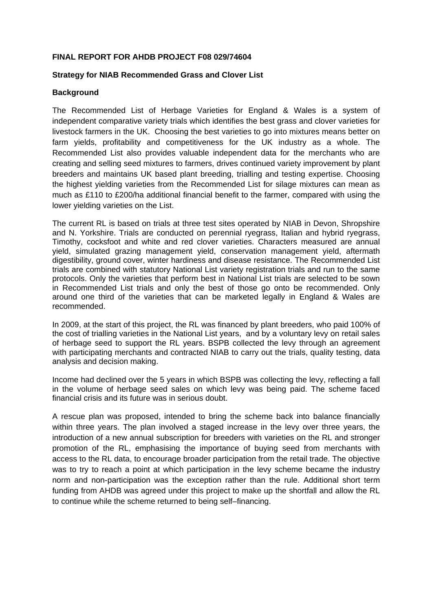### **FINAL REPORT FOR AHDB PROJECT F08 029/74604**

### **Strategy for NIAB Recommended Grass and Clover List**

### **Background**

The Recommended List of Herbage Varieties for England & Wales is a system of independent comparative variety trials which identifies the best grass and clover varieties for livestock farmers in the UK. Choosing the best varieties to go into mixtures means better on farm yields, profitability and competitiveness for the UK industry as a whole. The Recommended List also provides valuable independent data for the merchants who are creating and selling seed mixtures to farmers, drives continued variety improvement by plant breeders and maintains UK based plant breeding, trialling and testing expertise. Choosing the highest yielding varieties from the Recommended List for silage mixtures can mean as much as £110 to £200/ha additional financial benefit to the farmer, compared with using the lower yielding varieties on the List.

The current RL is based on trials at three test sites operated by NIAB in Devon, Shropshire and N. Yorkshire. Trials are conducted on perennial ryegrass, Italian and hybrid ryegrass, Timothy, cocksfoot and white and red clover varieties. Characters measured are annual yield, simulated grazing management yield, conservation management yield, aftermath digestibility, ground cover, winter hardiness and disease resistance. The Recommended List trials are combined with statutory National List variety registration trials and run to the same protocols. Only the varieties that perform best in National List trials are selected to be sown in Recommended List trials and only the best of those go onto be recommended. Only around one third of the varieties that can be marketed legally in England & Wales are recommended.

In 2009, at the start of this project, the RL was financed by plant breeders, who paid 100% of the cost of trialling varieties in the National List years, and by a voluntary levy on retail sales of herbage seed to support the RL years. BSPB collected the levy through an agreement with participating merchants and contracted NIAB to carry out the trials, quality testing, data analysis and decision making.

Income had declined over the 5 years in which BSPB was collecting the levy, reflecting a fall in the volume of herbage seed sales on which levy was being paid. The scheme faced financial crisis and its future was in serious doubt.

A rescue plan was proposed, intended to bring the scheme back into balance financially within three years. The plan involved a staged increase in the levy over three years, the introduction of a new annual subscription for breeders with varieties on the RL and stronger promotion of the RL, emphasising the importance of buying seed from merchants with access to the RL data, to encourage broader participation from the retail trade. The objective was to try to reach a point at which participation in the levy scheme became the industry norm and non-participation was the exception rather than the rule. Additional short term funding from AHDB was agreed under this project to make up the shortfall and allow the RL to continue while the scheme returned to being self–financing.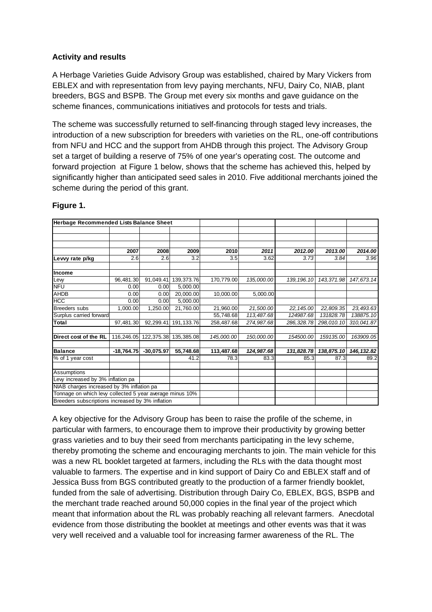### **Activity and results**

A Herbage Varieties Guide Advisory Group was established, chaired by Mary Vickers from EBLEX and with representation from levy paying merchants, NFU, Dairy Co, NIAB, plant breeders, BGS and BSPB. The Group met every six months and gave guidance on the scheme finances, communications initiatives and protocols for tests and trials.

The scheme was successfully returned to self-financing through staged levy increases, the introduction of a new subscription for breeders with varieties on the RL, one-off contributions from NFU and HCC and the support from AHDB through this project. The Advisory Group set a target of building a reserve of 75% of one year's operating cost. The outcome and forward projection at Figure 1 below, shows that the scheme has achieved this, helped by significantly higher than anticipated seed sales in 2010. Five additional merchants joined the scheme during the period of this grant.

| Herbage Recommended Lists Balance Sheet                  |              |              |            |            |            |             |            |             |
|----------------------------------------------------------|--------------|--------------|------------|------------|------------|-------------|------------|-------------|
|                                                          |              |              |            |            |            |             |            |             |
|                                                          |              |              |            |            |            |             |            |             |
|                                                          |              |              |            |            |            |             |            |             |
|                                                          | 2007         | 2008         | 2009       | 2010       | 2011       | 2012.00     | 2013.00    | 2014.00     |
| Levvy rate p/kg                                          | 2.6          | 2.6          | 3.2        | 3.5        | 3.62       | 3.73        | 3.84       | 3.96        |
| Income                                                   |              |              |            |            |            |             |            |             |
| Levy                                                     | 96,481.30    | 91,049.41    | 139,373.76 | 170,779.00 | 135,000.00 | 139, 196.10 | 143,371.98 | 147,673.14  |
| <b>NFU</b>                                               | 0.00         | 0.00         | 5,000.00   |            |            |             |            |             |
| <b>AHDB</b>                                              | 0.00         | 0.00         | 20,000.00  | 10,000.00  | 5,000.00   |             |            |             |
| HCC                                                      | 0.00         | 0.00         | 5,000.00   |            |            |             |            |             |
| <b>Breeders subs</b>                                     | 1,000.00     | 1,250.00     | 21,760.00  | 21,960.00  | 21,500.00  | 22, 145.00  | 22,809.35  | 23,493.63   |
| Surplus carried forward                                  |              |              |            | 55,748.68  | 113,487.68 | 124987.68   | 131828.78  | 138875.10   |
| Total                                                    | 97.481.30    | 92,299.41    | 191,133.76 | 258,487.68 | 274,987.68 | 286, 328.78 | 298,010.10 | 310,041.87  |
| Direct cost of the RL                                    | 116,246.05   | 122,375.38   | 135,385.08 | 145,000.00 | 150,000.00 | 154500.00   | 159135.00  | 163909.05   |
| <b>Balance</b>                                           | $-18,764.75$ | $-30,075.97$ | 55,748.68  | 113,487.68 | 124,987.68 | 131,828.78  | 138,875.10 | 146, 132.82 |
| % of 1 year cost                                         |              |              | 41.2       | 78.3       | 83.3       | 85.3        | 87.3       | 89.2        |
| Assumptions                                              |              |              |            |            |            |             |            |             |
| Levy increased by 3% inflation pa                        |              |              |            |            |            |             |            |             |
| NIAB charges increased by 3% inflation pa                |              |              |            |            |            |             |            |             |
| Tonnage on which levy collected 5 year average minus 10% |              |              |            |            |            |             |            |             |
| Breeders subscriptions increased by 3% inflation         |              |              |            |            |            |             |            |             |

# **Figure 1.**

A key objective for the Advisory Group has been to raise the profile of the scheme, in particular with farmers, to encourage them to improve their productivity by growing better grass varieties and to buy their seed from merchants participating in the levy scheme, thereby promoting the scheme and encouraging merchants to join. The main vehicle for this was a new RL booklet targeted at farmers, including the RLs with the data thought most valuable to farmers. The expertise and in kind support of Dairy Co and EBLEX staff and of Jessica Buss from BGS contributed greatly to the production of a farmer friendly booklet, funded from the sale of advertising. Distribution through Dairy Co, EBLEX, BGS, BSPB and the merchant trade reached around 50,000 copies in the final year of the project which meant that information about the RL was probably reaching all relevant farmers. Anecdotal evidence from those distributing the booklet at meetings and other events was that it was very well received and a valuable tool for increasing farmer awareness of the RL. The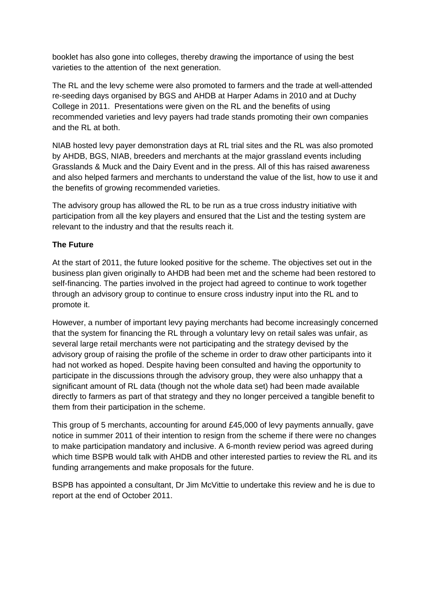booklet has also gone into colleges, thereby drawing the importance of using the best varieties to the attention of the next generation.

The RL and the levy scheme were also promoted to farmers and the trade at well-attended re-seeding days organised by BGS and AHDB at Harper Adams in 2010 and at Duchy College in 2011. Presentations were given on the RL and the benefits of using recommended varieties and levy payers had trade stands promoting their own companies and the RL at both.

NIAB hosted levy payer demonstration days at RL trial sites and the RL was also promoted by AHDB, BGS, NIAB, breeders and merchants at the major grassland events including Grasslands & Muck and the Dairy Event and in the press. All of this has raised awareness and also helped farmers and merchants to understand the value of the list, how to use it and the benefits of growing recommended varieties.

The advisory group has allowed the RL to be run as a true cross industry initiative with participation from all the key players and ensured that the List and the testing system are relevant to the industry and that the results reach it.

# **The Future**

At the start of 2011, the future looked positive for the scheme. The objectives set out in the business plan given originally to AHDB had been met and the scheme had been restored to self-financing. The parties involved in the project had agreed to continue to work together through an advisory group to continue to ensure cross industry input into the RL and to promote it.

However, a number of important levy paying merchants had become increasingly concerned that the system for financing the RL through a voluntary levy on retail sales was unfair, as several large retail merchants were not participating and the strategy devised by the advisory group of raising the profile of the scheme in order to draw other participants into it had not worked as hoped. Despite having been consulted and having the opportunity to participate in the discussions through the advisory group, they were also unhappy that a significant amount of RL data (though not the whole data set) had been made available directly to farmers as part of that strategy and they no longer perceived a tangible benefit to them from their participation in the scheme.

This group of 5 merchants, accounting for around £45,000 of levy payments annually, gave notice in summer 2011 of their intention to resign from the scheme if there were no changes to make participation mandatory and inclusive. A 6-month review period was agreed during which time BSPB would talk with AHDB and other interested parties to review the RL and its funding arrangements and make proposals for the future.

BSPB has appointed a consultant, Dr Jim McVittie to undertake this review and he is due to report at the end of October 2011.